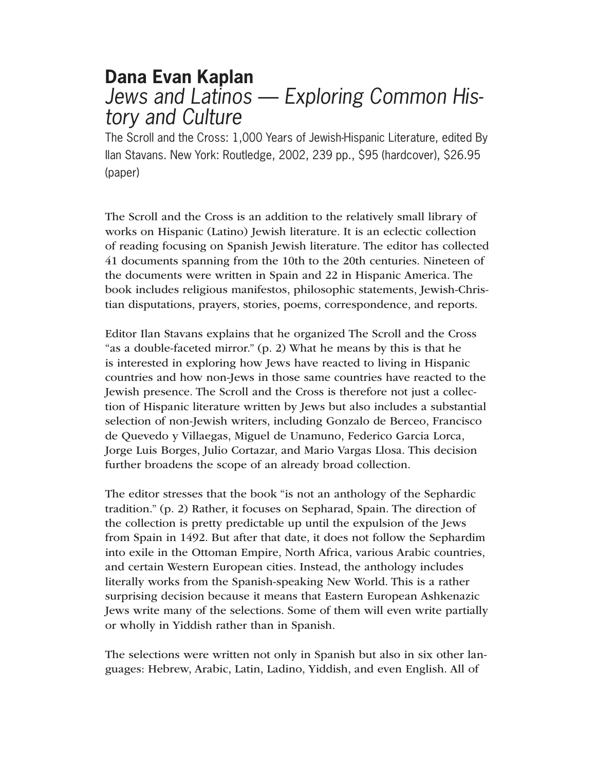# **Dana Evan Kaplan** *Jews and Latinos — Exploring Common History and Culture*

The Scroll and the Cross: 1,000 Years of Jewish-Hispanic Literature, edited By Ilan Stavans. New York: Routledge, 2002, 239 pp., \$95 (hardcover), \$26.95 (paper)

The Scroll and the Cross is an addition to the relatively small library of works on Hispanic (Latino) Jewish literature. It is an eclectic collection of reading focusing on Spanish Jewish literature. The editor has collected 41 documents spanning from the 10th to the 20th centuries. Nineteen of the documents were written in Spain and 22 in Hispanic America. The book includes religious manifestos, philosophic statements, Jewish-Christian disputations, prayers, stories, poems, correspondence, and reports.

Editor Ilan Stavans explains that he organized The Scroll and the Cross "as a double-faceted mirror." (p. 2) What he means by this is that he is interested in exploring how Jews have reacted to living in Hispanic countries and how non-Jews in those same countries have reacted to the Jewish presence. The Scroll and the Cross is therefore not just a collection of Hispanic literature written by Jews but also includes a substantial selection of non-Jewish writers, including Gonzalo de Berceo, Francisco de Quevedo y Villaegas, Miguel de Unamuno, Federico Garcia Lorca, Jorge Luis Borges, Julio Cortazar, and Mario Vargas Llosa. This decision further broadens the scope of an already broad collection.

The editor stresses that the book "is not an anthology of the Sephardic tradition." (p. 2) Rather, it focuses on Sepharad, Spain. The direction of the collection is pretty predictable up until the expulsion of the Jews from Spain in 1492. But after that date, it does not follow the Sephardim into exile in the Ottoman Empire, North Africa, various Arabic countries, and certain Western European cities. Instead, the anthology includes literally works from the Spanish-speaking New World. This is a rather surprising decision because it means that Eastern European Ashkenazic Jews write many of the selections. Some of them will even write partially or wholly in Yiddish rather than in Spanish.

The selections were written not only in Spanish but also in six other languages: Hebrew, Arabic, Latin, Ladino, Yiddish, and even English. All of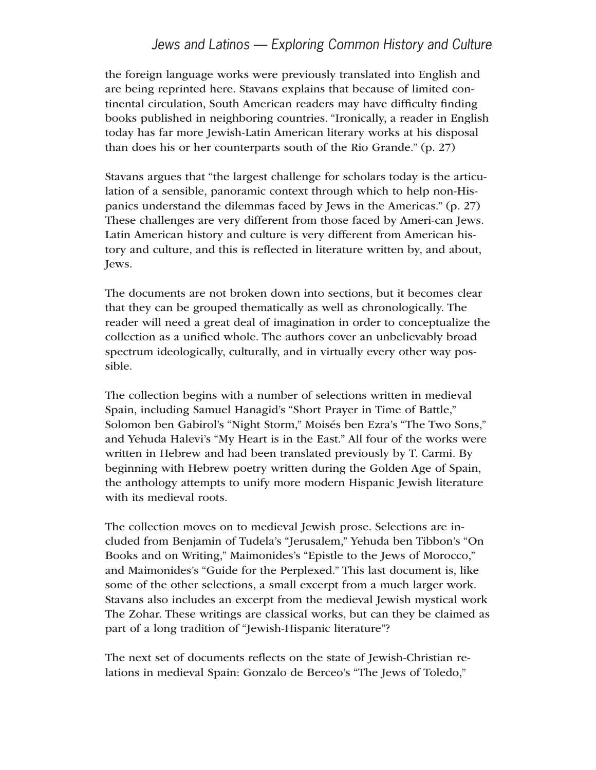the foreign language works were previously translated into English and are being reprinted here. Stavans explains that because of limited continental circulation, South American readers may have difficulty finding books published in neighboring countries. "Ironically, a reader in English today has far more Jewish-Latin American literary works at his disposal than does his or her counterparts south of the Rio Grande." (p. 27)

Stavans argues that "the largest challenge for scholars today is the articulation of a sensible, panoramic context through which to help non-Hispanics understand the dilemmas faced by Jews in the Americas." (p. 27) These challenges are very different from those faced by Ameri-can Jews. Latin American history and culture is very different from American history and culture, and this is reflected in literature written by, and about, Jews.

The documents are not broken down into sections, but it becomes clear that they can be grouped thematically as well as chronologically. The reader will need a great deal of imagination in order to conceptualize the collection as a unified whole. The authors cover an unbelievably broad spectrum ideologically, culturally, and in virtually every other way possible.

The collection begins with a number of selections written in medieval Spain, including Samuel Hanagid's "Short Prayer in Time of Battle," Solomon ben Gabirol's "Night Storm," Moisés ben Ezra's "The Two Sons," and Yehuda Halevi's "My Heart is in the East." All four of the works were written in Hebrew and had been translated previously by T. Carmi. By beginning with Hebrew poetry written during the Golden Age of Spain, the anthology attempts to unify more modern Hispanic Jewish literature with its medieval roots.

The collection moves on to medieval Jewish prose. Selections are included from Benjamin of Tudela's "Jerusalem," Yehuda ben Tibbon's "On Books and on Writing," Maimonides's "Epistle to the Jews of Morocco," and Maimonides's "Guide for the Perplexed." This last document is, like some of the other selections, a small excerpt from a much larger work. Stavans also includes an excerpt from the medieval Jewish mystical work The Zohar. These writings are classical works, but can they be claimed as part of a long tradition of "Jewish-Hispanic literature"?

The next set of documents reflects on the state of Jewish-Christian relations in medieval Spain: Gonzalo de Berceo's "The Jews of Toledo,"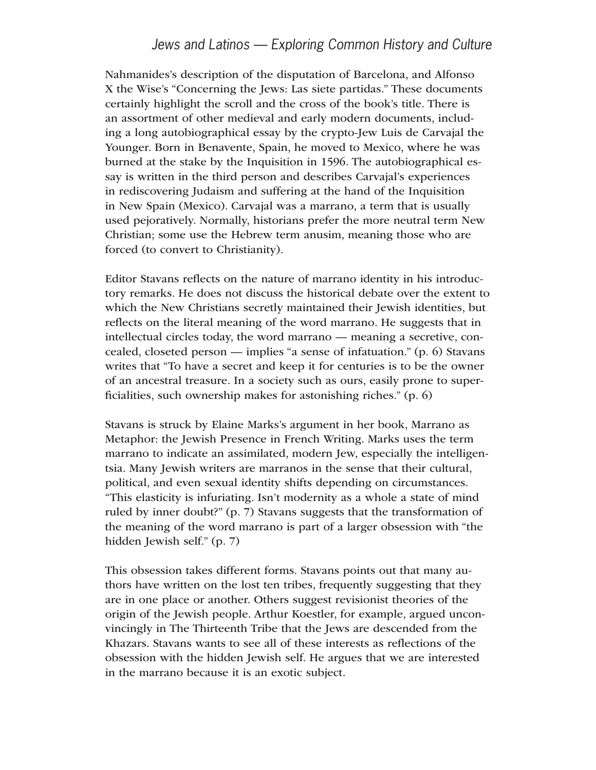Nahmanides's description of the disputation of Barcelona, and Alfonso X the Wise's "Concerning the Jews: Las siete partidas." These documents certainly highlight the scroll and the cross of the book's title. There is an assortment of other medieval and early modern documents, including a long autobiographical essay by the crypto-Jew Luis de Carvajal the Younger. Born in Benavente, Spain, he moved to Mexico, where he was burned at the stake by the Inquisition in 1596. The autobiographical essay is written in the third person and describes Carvajal's experiences in rediscovering Judaism and suffering at the hand of the Inquisition in New Spain (Mexico). Carvajal was a marrano, a term that is usually used pejoratively. Normally, historians prefer the more neutral term New Christian; some use the Hebrew term anusim, meaning those who are forced (to convert to Christianity).

Editor Stavans reflects on the nature of marrano identity in his introductory remarks. He does not discuss the historical debate over the extent to which the New Christians secretly maintained their Jewish identities, but reflects on the literal meaning of the word marrano. He suggests that in intellectual circles today, the word marrano — meaning a secretive, concealed, closeted person — implies "a sense of infatuation." (p. 6) Stavans writes that "To have a secret and keep it for centuries is to be the owner of an ancestral treasure. In a society such as ours, easily prone to superficialities, such ownership makes for astonishing riches." (p. 6)

Stavans is struck by Elaine Marks's argument in her book, Marrano as Metaphor: the Jewish Presence in French Writing. Marks uses the term marrano to indicate an assimilated, modern Jew, especially the intelligentsia. Many Jewish writers are marranos in the sense that their cultural, political, and even sexual identity shifts depending on circumstances. "This elasticity is infuriating. Isn't modernity as a whole a state of mind ruled by inner doubt?" (p. 7) Stavans suggests that the transformation of the meaning of the word marrano is part of a larger obsession with "the hidden Jewish self." (p. 7)

This obsession takes different forms. Stavans points out that many authors have written on the lost ten tribes, frequently suggesting that they are in one place or another. Others suggest revisionist theories of the origin of the Jewish people. Arthur Koestler, for example, argued unconvincingly in The Thirteenth Tribe that the Jews are descended from the Khazars. Stavans wants to see all of these interests as reflections of the obsession with the hidden Jewish self. He argues that we are interested in the marrano because it is an exotic subject.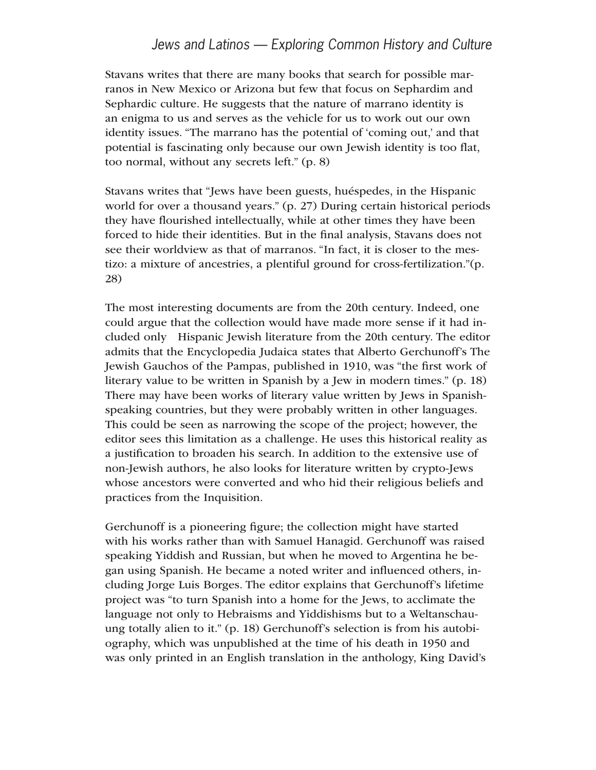Stavans writes that there are many books that search for possible marranos in New Mexico or Arizona but few that focus on Sephardim and Sephardic culture. He suggests that the nature of marrano identity is an enigma to us and serves as the vehicle for us to work out our own identity issues. "The marrano has the potential of 'coming out,' and that potential is fascinating only because our own Jewish identity is too flat, too normal, without any secrets left." (p. 8)

Stavans writes that "Jews have been guests, huéspedes, in the Hispanic world for over a thousand years." (p. 27) During certain historical periods they have flourished intellectually, while at other times they have been forced to hide their identities. But in the final analysis, Stavans does not see their worldview as that of marranos. "In fact, it is closer to the mestizo: a mixture of ancestries, a plentiful ground for cross-fertilization."(p. 28)

The most interesting documents are from the 20th century. Indeed, one could argue that the collection would have made more sense if it had included only Hispanic Jewish literature from the 20th century. The editor admits that the Encyclopedia Judaica states that Alberto Gerchunoff's The Jewish Gauchos of the Pampas, published in 1910, was "the first work of literary value to be written in Spanish by a Jew in modern times." (p. 18) There may have been works of literary value written by Jews in Spanishspeaking countries, but they were probably written in other languages. This could be seen as narrowing the scope of the project; however, the editor sees this limitation as a challenge. He uses this historical reality as a justification to broaden his search. In addition to the extensive use of non-Jewish authors, he also looks for literature written by crypto-Jews whose ancestors were converted and who hid their religious beliefs and practices from the Inquisition.

Gerchunoff is a pioneering figure; the collection might have started with his works rather than with Samuel Hanagid. Gerchunoff was raised speaking Yiddish and Russian, but when he moved to Argentina he began using Spanish. He became a noted writer and influenced others, including Jorge Luis Borges. The editor explains that Gerchunoff's lifetime project was "to turn Spanish into a home for the Jews, to acclimate the language not only to Hebraisms and Yiddishisms but to a Weltanschauung totally alien to it." (p. 18) Gerchunoff's selection is from his autobiography, which was unpublished at the time of his death in 1950 and was only printed in an English translation in the anthology, King David's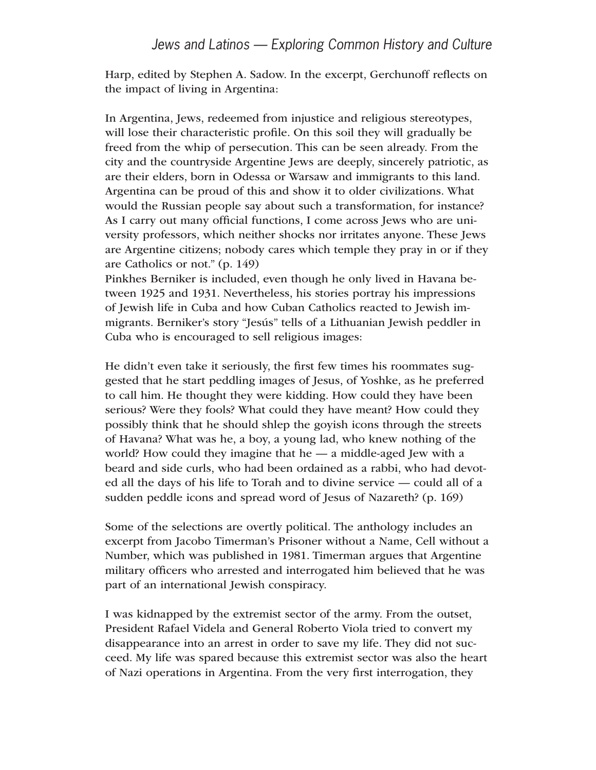Harp, edited by Stephen A. Sadow. In the excerpt, Gerchunoff reflects on the impact of living in Argentina:

In Argentina, Jews, redeemed from injustice and religious stereotypes, will lose their characteristic profile. On this soil they will gradually be freed from the whip of persecution. This can be seen already. From the city and the countryside Argentine Jews are deeply, sincerely patriotic, as are their elders, born in Odessa or Warsaw and immigrants to this land. Argentina can be proud of this and show it to older civilizations. What would the Russian people say about such a transformation, for instance? As I carry out many official functions, I come across Jews who are university professors, which neither shocks nor irritates anyone. These Jews are Argentine citizens; nobody cares which temple they pray in or if they are Catholics or not." (p. 149)

Pinkhes Berniker is included, even though he only lived in Havana between 1925 and 1931. Nevertheless, his stories portray his impressions of Jewish life in Cuba and how Cuban Catholics reacted to Jewish immigrants. Berniker's story "Jesús" tells of a Lithuanian Jewish peddler in Cuba who is encouraged to sell religious images:

He didn't even take it seriously, the first few times his roommates suggested that he start peddling images of Jesus, of Yoshke, as he preferred to call him. He thought they were kidding. How could they have been serious? Were they fools? What could they have meant? How could they possibly think that he should shlep the goyish icons through the streets of Havana? What was he, a boy, a young lad, who knew nothing of the world? How could they imagine that he — a middle-aged Jew with a beard and side curls, who had been ordained as a rabbi, who had devoted all the days of his life to Torah and to divine service — could all of a sudden peddle icons and spread word of Jesus of Nazareth? (p. 169)

Some of the selections are overtly political. The anthology includes an excerpt from Jacobo Timerman's Prisoner without a Name, Cell without a Number, which was published in 1981. Timerman argues that Argentine military officers who arrested and interrogated him believed that he was part of an international Jewish conspiracy.

I was kidnapped by the extremist sector of the army. From the outset, President Rafael Videla and General Roberto Viola tried to convert my disappearance into an arrest in order to save my life. They did not succeed. My life was spared because this extremist sector was also the heart of Nazi operations in Argentina. From the very first interrogation, they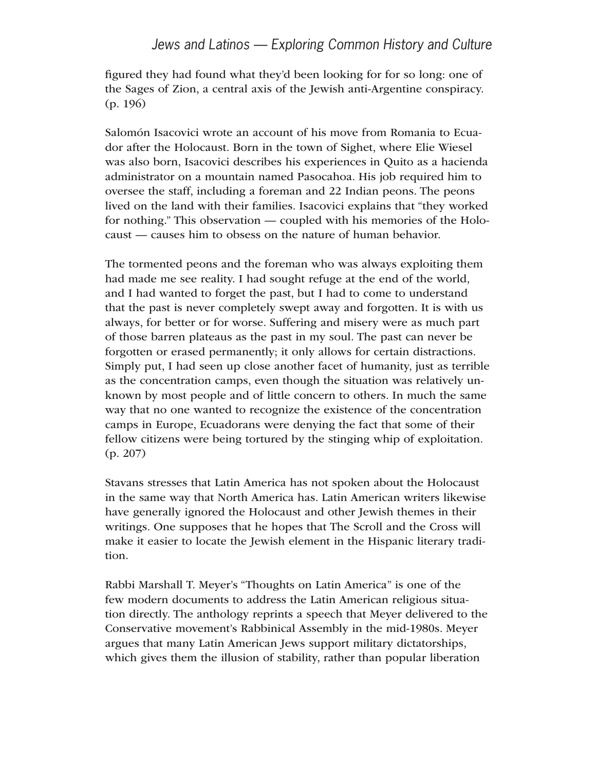figured they had found what they'd been looking for for so long: one of the Sages of Zion, a central axis of the Jewish anti-Argentine conspiracy. (p. 196)

Salomón Isacovici wrote an account of his move from Romania to Ecuador after the Holocaust. Born in the town of Sighet, where Elie Wiesel was also born, Isacovici describes his experiences in Quito as a hacienda administrator on a mountain named Pasocahoa. His job required him to oversee the staff, including a foreman and 22 Indian peons. The peons lived on the land with their families. Isacovici explains that "they worked for nothing." This observation — coupled with his memories of the Holocaust — causes him to obsess on the nature of human behavior.

The tormented peons and the foreman who was always exploiting them had made me see reality. I had sought refuge at the end of the world, and I had wanted to forget the past, but I had to come to understand that the past is never completely swept away and forgotten. It is with us always, for better or for worse. Suffering and misery were as much part of those barren plateaus as the past in my soul. The past can never be forgotten or erased permanently; it only allows for certain distractions. Simply put, I had seen up close another facet of humanity, just as terrible as the concentration camps, even though the situation was relatively unknown by most people and of little concern to others. In much the same way that no one wanted to recognize the existence of the concentration camps in Europe, Ecuadorans were denying the fact that some of their fellow citizens were being tortured by the stinging whip of exploitation. (p. 207)

Stavans stresses that Latin America has not spoken about the Holocaust in the same way that North America has. Latin American writers likewise have generally ignored the Holocaust and other Jewish themes in their writings. One supposes that he hopes that The Scroll and the Cross will make it easier to locate the Jewish element in the Hispanic literary tradition.

Rabbi Marshall T. Meyer's "Thoughts on Latin America" is one of the few modern documents to address the Latin American religious situation directly. The anthology reprints a speech that Meyer delivered to the Conservative movement's Rabbinical Assembly in the mid-1980s. Meyer argues that many Latin American Jews support military dictatorships, which gives them the illusion of stability, rather than popular liberation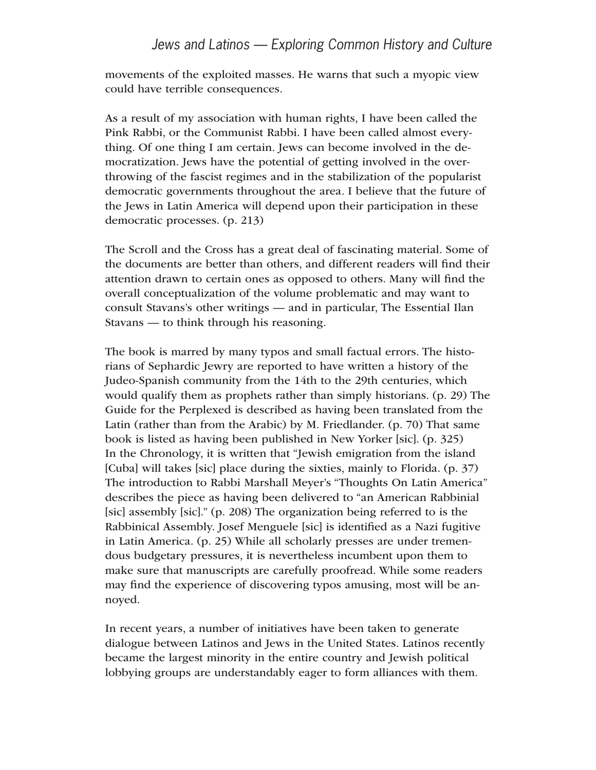movements of the exploited masses. He warns that such a myopic view could have terrible consequences.

As a result of my association with human rights, I have been called the Pink Rabbi, or the Communist Rabbi. I have been called almost everything. Of one thing I am certain. Jews can become involved in the democratization. Jews have the potential of getting involved in the overthrowing of the fascist regimes and in the stabilization of the popularist democratic governments throughout the area. I believe that the future of the Jews in Latin America will depend upon their participation in these democratic processes. (p. 213)

The Scroll and the Cross has a great deal of fascinating material. Some of the documents are better than others, and different readers will find their attention drawn to certain ones as opposed to others. Many will find the overall conceptualization of the volume problematic and may want to consult Stavans's other writings — and in particular, The Essential Ilan Stavans — to think through his reasoning.

The book is marred by many typos and small factual errors. The historians of Sephardic Jewry are reported to have written a history of the Judeo-Spanish community from the 14th to the 29th centuries, which would qualify them as prophets rather than simply historians. (p. 29) The Guide for the Perplexed is described as having been translated from the Latin (rather than from the Arabic) by M. Friedlander. (p. 70) That same book is listed as having been published in New Yorker [sic]. (p. 325) In the Chronology, it is written that "Jewish emigration from the island [Cuba] will takes [sic] place during the sixties, mainly to Florida. (p. 37) The introduction to Rabbi Marshall Meyer's "Thoughts On Latin America" describes the piece as having been delivered to "an American Rabbinial [sic] assembly [sic]." (p. 208) The organization being referred to is the Rabbinical Assembly. Josef Menguele [sic] is identified as a Nazi fugitive in Latin America. (p. 25) While all scholarly presses are under tremendous budgetary pressures, it is nevertheless incumbent upon them to make sure that manuscripts are carefully proofread. While some readers may find the experience of discovering typos amusing, most will be annoyed.

In recent years, a number of initiatives have been taken to generate dialogue between Latinos and Jews in the United States. Latinos recently became the largest minority in the entire country and Jewish political lobbying groups are understandably eager to form alliances with them.